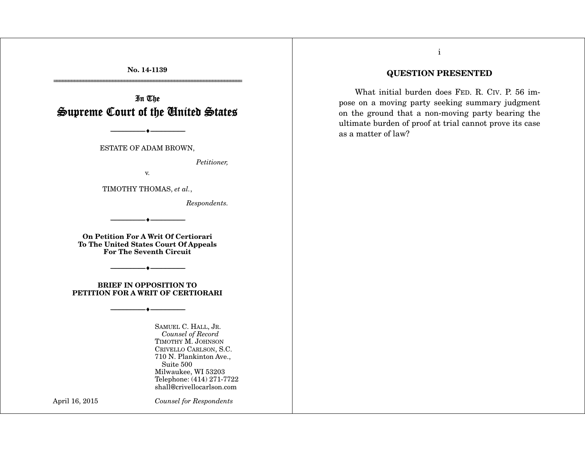**No. 14-1139**  ================================================================

In The Supreme Court of the United States

ESTATE OF ADAM BROWN,

--------------------------------- i ---------------------------------

*Petitioner,* 

v.

TIMOTHY THOMAS, *et al.*,

*Respondents.*

**On Petition For A Writ Of Certiorari To The United States Court Of Appeals For The Seventh Circuit** 

--------------------------------- i ---------------------------------

**BRIEF IN OPPOSITION TO PETITION FOR A WRIT OF CERTIORARI** 

--------------------------------- i ---------------------------------

--------------------------------- i ---------------------------------

SAMUEL C. HALL, JR. *Counsel of Record*  TIMOTHY M. JOHNSON CRIVELLO CARLSON, S.C. 710 N. Plankinton Ave., Suite 500 Milwaukee, WI 53203 Telephone: (414) 271-7722 shall@crivellocarlson.com

April 16, 2015 *Counsel for Respondents*

## i

## **QUESTION PRESENTED**

 What initial burden does FED. R. CIV. P. 56 impose on a moving party seeking summary judgment on the ground that a non-moving party bearing the ultimate burden of proof at trial cannot prove its case as a matter of law?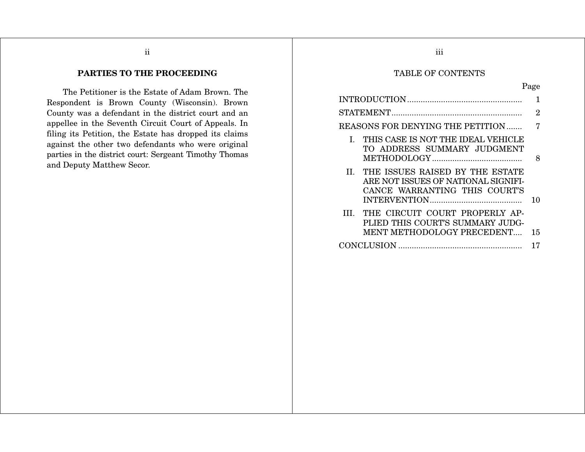# ii

# **PARTIES TO THE PROCEEDING**

 The Petitioner is the Estate of Adam Brown. The Respondent is Brown County (Wisconsin). Brown County was a defendant in the district court and an appellee in the Seventh Circuit Court of Appeals. In filing its Petition, the Estate has dropped its claims against the other two defendants who were original parties in the district court: Sergeant Timothy Thomas and Deputy Matthew Secor.

## TABLE OF CONTENTS

|                                                                                                             | 2  |
|-------------------------------------------------------------------------------------------------------------|----|
| REASONS FOR DENYING THE PETITION                                                                            | 7  |
| I. THIS CASE IS NOT THE IDEAL VEHICLE<br>TO ADDRESS SUMMARY JUDGMENT                                        | 8  |
| II. THE ISSUES RAISED BY THE ESTATE<br>ARE NOT ISSUES OF NATIONAL SIGNIFI-<br>CANCE WARRANTING THIS COURT'S | 10 |
| III. THE CIRCUIT COURT PROPERLY AP-<br>PLIED THIS COURT'S SUMMARY JUDG-<br>MENT METHODOLOGY PRECEDENT       | 15 |
|                                                                                                             | 17 |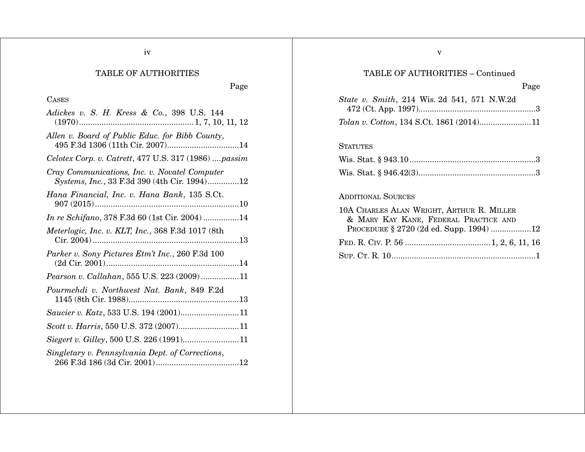| <b>TABLE OF AUTHORITIES</b>                                                                   | TABLE OF AUTHORITIES - Continued                                                                                                                           |
|-----------------------------------------------------------------------------------------------|------------------------------------------------------------------------------------------------------------------------------------------------------------|
| Page                                                                                          | Page                                                                                                                                                       |
| <b>CASES</b><br>Adickes v. S. H. Kress & Co., 398 U.S. 144                                    | <i>State v. Smith</i> , 214 Wis. 2d 541, 571 N.W.2d<br>Tolan v. Cotton, 134 S.Ct. 1861 (2014)11                                                            |
| Allen v. Board of Public Educ. for Bibb County,                                               | <b>STATUTES</b>                                                                                                                                            |
| Celotex Corp. v. Catrett, 477 U.S. 317 (1986)  passim                                         |                                                                                                                                                            |
| Cray Communications, Inc. v. Novatel Computer<br>Systems, Inc., 33 F.3d 390 (4th Cir. 1994)12 |                                                                                                                                                            |
| Hana Financial, Inc. v. Hana Bank, 135 S.Ct.                                                  | <b>ADDITIONAL SOURCES</b><br>10A CHARLES ALAN WRIGHT, ARTHUR R. MILLER<br>& MARY KAY KANE, FEDERAL PRACTICE AND<br>PROCEDURE § 2720 (2d ed. Supp. 1994) 12 |
| In re Schifano, 378 F.3d 60 (1st Cir. 2004)14                                                 |                                                                                                                                                            |
| Meterlogic, Inc. v. KLT, Inc., 368 F.3d 1017 (8th                                             |                                                                                                                                                            |
| Parker v. Sony Pictures Etm't Inc., 260 F.3d 100                                              |                                                                                                                                                            |
| Pearson v. Callahan, 555 U.S. 223 (2009)11                                                    |                                                                                                                                                            |
| Pourmehdi v. Northwest Nat. Bank, 849 F.2d                                                    |                                                                                                                                                            |
|                                                                                               |                                                                                                                                                            |
|                                                                                               |                                                                                                                                                            |
|                                                                                               |                                                                                                                                                            |
| Singletary v. Pennsylvania Dept. of Corrections,                                              |                                                                                                                                                            |

v

iv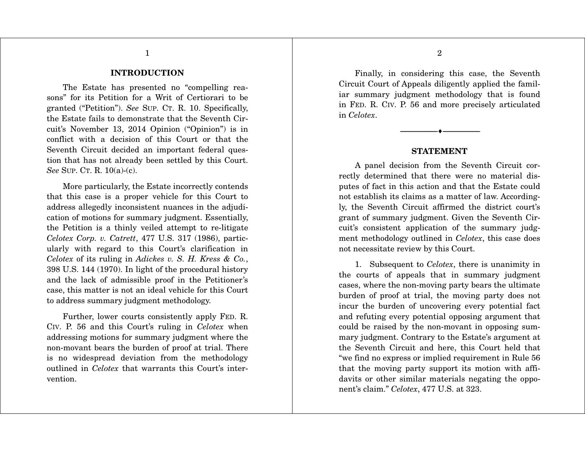#### **INTRODUCTION**

1

 The Estate has presented no "compelling reasons" for its Petition for a Writ of Certiorari to be granted ("Petition"). *See* SUP. CT. R. 10. Specifically, the Estate fails to demonstrate that the Seventh Circuit's November 13, 2014 Opinion ("Opinion") is in conflict with a decision of this Court or that the Seventh Circuit decided an important federal question that has not already been settled by this Court. *See* SUP. CT. R. 10(a)-(c).

 More particularly, the Estate incorrectly contends that this case is a proper vehicle for this Court to address allegedly inconsistent nuances in the adjudication of motions for summary judgment. Essentially, the Petition is a thinly veiled attempt to re-litigate *Celotex Corp. v. Catrett*, 477 U.S. 317 (1986), particularly with regard to this Court's clarification in *Celotex* of its ruling in *Adickes v. S. H. Kress & Co.*, 398 U.S. 144 (1970). In light of the procedural history and the lack of admissible proof in the Petitioner's case, this matter is not an ideal vehicle for this Court to address summary judgment methodology.

 Further, lower courts consistently apply FED. R. CIV. P. 56 and this Court's ruling in *Celotex* when addressing motions for summary judgment where the non-movant bears the burden of proof at trial. There is no widespread deviation from the methodology outlined in *Celotex* that warrants this Court's intervention.

 Finally, in considering this case, the Seventh Circuit Court of Appeals diligently applied the familiar summary judgment methodology that is found in FED. R. CIV. P. 56 and more precisely articulated in *Celotex*.

#### **STATEMENT**

--------------------------------- i ---------------------------------

 A panel decision from the Seventh Circuit correctly determined that there were no material disputes of fact in this action and that the Estate could not establish its claims as a matter of law. Accordingly, the Seventh Circuit affirmed the district court's grant of summary judgment. Given the Seventh Circuit's consistent application of the summary judgment methodology outlined in *Celotex*, this case does not necessitate review by this Court.

 1. Subsequent to *Celotex*, there is unanimity in the courts of appeals that in summary judgment cases, where the non-moving party bears the ultimate burden of proof at trial, the moving party does not incur the burden of uncovering every potential fact and refuting every potential opposing argument that could be raised by the non-movant in opposing summary judgment. Contrary to the Estate's argument at the Seventh Circuit and here, this Court held that "we find no express or implied requirement in Rule 56 that the moving party support its motion with affidavits or other similar materials negating the opponent's claim." *Celotex*, 477 U.S. at 323.

2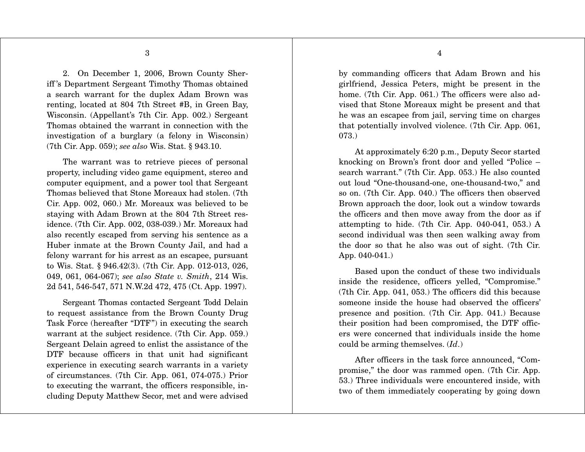2. On December 1, 2006, Brown County Sheriff 's Department Sergeant Timothy Thomas obtained a search warrant for the duplex Adam Brown was renting, located at 804 7th Street #B, in Green Bay, Wisconsin. (Appellant's 7th Cir. App. 002.) Sergeant Thomas obtained the warrant in connection with the investigation of a burglary (a felony in Wisconsin) (7th Cir. App. 059); *see also* Wis. Stat. § 943.10.

 The warrant was to retrieve pieces of personal property, including video game equipment, stereo and computer equipment, and a power tool that Sergeant Thomas believed that Stone Moreaux had stolen. (7th Cir. App. 002, 060.) Mr. Moreaux was believed to be staying with Adam Brown at the 804 7th Street residence. (7th Cir. App. 002, 038-039.) Mr. Moreaux had also recently escaped from serving his sentence as a Huber inmate at the Brown County Jail, and had a felony warrant for his arrest as an escapee, pursuant to Wis. Stat. § 946.42(3). (7th Cir. App. 012-013, 026, 049, 061, 064-067); *see also State v. Smith*, 214 Wis. 2d 541, 546-547, 571 N.W.2d 472, 475 (Ct. App. 1997).

 Sergeant Thomas contacted Sergeant Todd Delain to request assistance from the Brown County Drug Task Force (hereafter "DTF") in executing the search warrant at the subject residence. (7th Cir. App. 059.) Sergeant Delain agreed to enlist the assistance of the DTF because officers in that unit had significant experience in executing search warrants in a variety of circumstances. (7th Cir. App. 061, 074-075.) Prior to executing the warrant, the officers responsible, including Deputy Matthew Secor, met and were advised

by commanding officers that Adam Brown and his girlfriend, Jessica Peters, might be present in the home. (7th Cir. App. 061.) The officers were also advised that Stone Moreaux might be present and that he was an escapee from jail, serving time on charges that potentially involved violence. (7th Cir. App. 061, 073.)

 At approximately 6:20 p.m., Deputy Secor started knocking on Brown's front door and yelled "Police – search warrant." (7th Cir. App. 053.) He also counted out loud "One-thousand-one, one-thousand-two," and so on. (7th Cir. App. 040.) The officers then observed Brown approach the door, look out a window towards the officers and then move away from the door as if attempting to hide. (7th Cir. App. 040-041, 053.) A second individual was then seen walking away from the door so that he also was out of sight. (7th Cir. App. 040-041.)

 Based upon the conduct of these two individuals inside the residence, officers yelled, "Compromise." (7th Cir. App. 041, 053.) The officers did this because someone inside the house had observed the officers' presence and position. (7th Cir. App. 041.) Because their position had been compromised, the DTF officers were concerned that individuals inside the home could be arming themselves. (*Id*.)

 After officers in the task force announced, "Compromise," the door was rammed open. (7th Cir. App. 53.) Three individuals were encountered inside, with two of them immediately cooperating by going down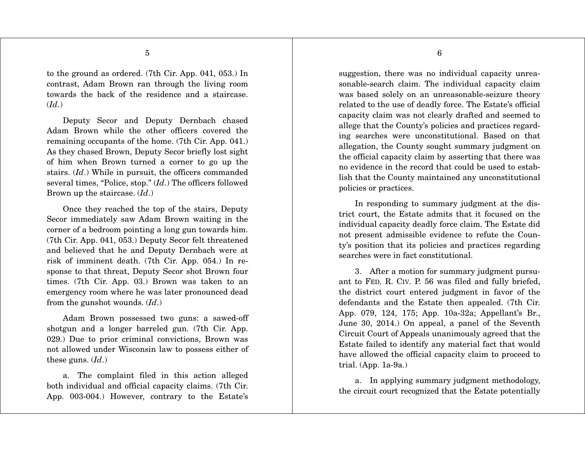to the ground as ordered. (7th Cir. App. 041, 053.) In contrast, Adam Brown ran through the living room towards the back of the residence and a staircase. (*Id*.)

 Deputy Secor and Deputy Dernbach chased Adam Brown while the other officers covered the remaining occupants of the home. (7th Cir. App. 041.) As they chased Brown, Deputy Secor briefly lost sight of him when Brown turned a corner to go up the stairs. (*Id*.) While in pursuit, the officers commanded several times, "Police, stop." (*Id*.) The officers followed Brown up the staircase. (*Id*.)

 Once they reached the top of the stairs, Deputy Secor immediately saw Adam Brown waiting in the corner of a bedroom pointing a long gun towards him. (7th Cir. App. 041, 053.) Deputy Secor felt threatened and believed that he and Deputy Dernbach were at risk of imminent death. (7th Cir. App. 054.) In response to that threat, Deputy Secor shot Brown four times. (7th Cir. App. 03.) Brown was taken to an emergency room where he was later pronounced dead from the gunshot wounds. (*Id*.)

 Adam Brown possessed two guns: a sawed-off shotgun and a longer barreled gun. (7th Cir. App. 029.) Due to prior criminal convictions, Brown was not allowed under Wisconsin law to possess either of these guns. (*Id*.)

 a. The complaint filed in this action alleged both individual and official capacity claims. (7th Cir. App. 003-004.) However, contrary to the Estate's

suggestion, there was no individual capacity unreasonable-search claim. The individual capacity claim was based solely on an unreasonable-seizure theory related to the use of deadly force. The Estate's official capacity claim was not clearly drafted and seemed to allege that the County's policies and practices regarding searches were unconstitutional. Based on that allegation, the County sought summary judgment on the official capacity claim by asserting that there was no evidence in the record that could be used to establish that the County maintained any unconstitutional policies or practices.

 In responding to summary judgment at the district court, the Estate admits that it focused on the individual capacity deadly force claim. The Estate did not present admissible evidence to refute the County's position that its policies and practices regarding searches were in fact constitutional.

 3. After a motion for summary judgment pursuant to FED. R. CIV. P. 56 was filed and fully briefed, the district court entered judgment in favor of the defendants and the Estate then appealed. (7th Cir. App. 079, 124, 175; App. 10a-32a; Appellant's Br., June 30, 2014.) On appeal, a panel of the Seventh Circuit Court of Appeals unanimously agreed that the Estate failed to identify any material fact that would have allowed the official capacity claim to proceed to trial. (App. 1a-9a.)

 a. In applying summary judgment methodology, the circuit court recognized that the Estate potentially

6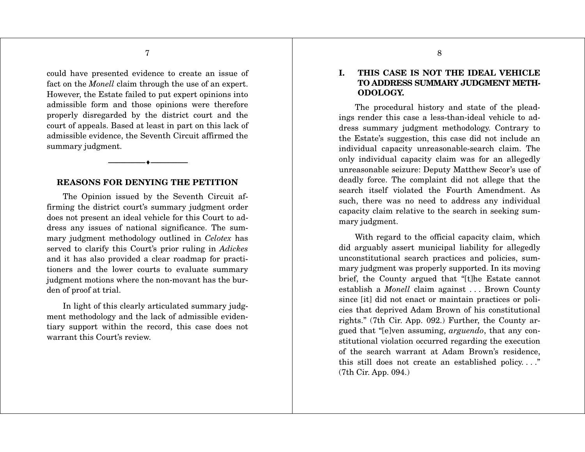could have presented evidence to create an issue of fact on the *Monell* claim through the use of an expert. However, the Estate failed to put expert opinions into admissible form and those opinions were therefore properly disregarded by the district court and the court of appeals. Based at least in part on this lack of admissible evidence, the Seventh Circuit affirmed the summary judgment.

#### **REASONS FOR DENYING THE PETITION**

i ---------------------------------

---------------------------------

 The Opinion issued by the Seventh Circuit affirming the district court's summary judgment order does not present an ideal vehicle for this Court to address any issues of national significance. The summary judgment methodology outlined in *Celotex* has served to clarify this Court's prior ruling in *Adickes* and it has also provided a clear roadmap for practitioners and the lower courts to evaluate summary judgment motions where the non-movant has the burden of proof at trial.

 In light of this clearly articulated summary judgment methodology and the lack of admissible evidentiary support within the record, this case does not warrant this Court's review.

## **I. THIS CASE IS NOT THE IDEAL VEHICLE TO ADDRESS SUMMARY JUDGMENT METH-ODOLOGY.**

 The procedural history and state of the pleadings render this case a less-than-ideal vehicle to address summary judgment methodology. Contrary to the Estate's suggestion, this case did not include an individual capacity unreasonable-search claim. The only individual capacity claim was for an allegedly unreasonable seizure: Deputy Matthew Secor's use of deadly force. The complaint did not allege that the search itself violated the Fourth Amendment. As such, there was no need to address any individual capacity claim relative to the search in seeking summary judgment.

 With regard to the official capacity claim, which did arguably assert municipal liability for allegedly unconstitutional search practices and policies, summary judgment was properly supported. In its moving brief, the County argued that "[t]he Estate cannot establish a *Monell* claim against . . . Brown County since [it] did not enact or maintain practices or policies that deprived Adam Brown of his constitutional rights." (7th Cir. App. 092.) Further, the County argued that "[e]ven assuming, *arguendo*, that any constitutional violation occurred regarding the execution of the search warrant at Adam Brown's residence, this still does not create an established policy. . . ." (7th Cir. App. 094.)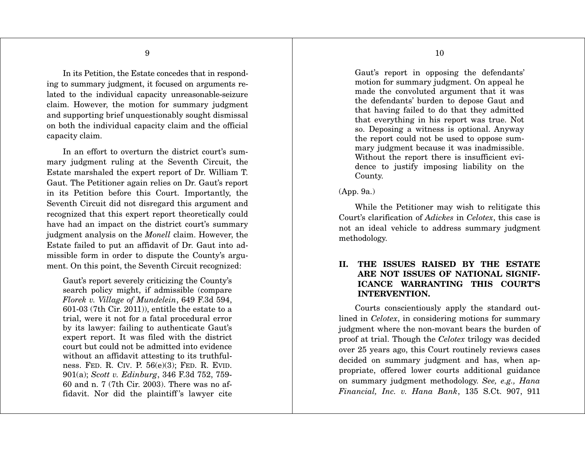In its Petition, the Estate concedes that in responding to summary judgment, it focused on arguments related to the individual capacity unreasonable-seizure claim. However, the motion for summary judgment and supporting brief unquestionably sought dismissal on both the individual capacity claim and the official capacity claim.

In an effort to overturn the district court's summary judgment ruling at the Seventh Circuit, the Estate marshaled the expert report of Dr. William T. Gaut. The Petitioner again relies on Dr. Gaut's report in its Petition before this Court. Importantly, the Seventh Circuit did not disregard this argument and recognized that this expert report theoretically could have had an impact on the district court's summary judgment analysis on the *Monell* claim. However, the Estate failed to put an affidavit of Dr. Gaut into admissible form in order to dispute the County's argument. On this point, the Seventh Circuit recognized:

Gaut's report severely criticizing the County's search policy might, if admissible (compare *Florek v. Village of Mundelein*, 649 F.3d 594, 601-03 (7th Cir. 2011)), entitle the estate to a trial, were it not for a fatal procedural error by its lawyer: failing to authenticate Gaut's expert report. It was filed with the district court but could not be admitted into evidence without an affidavit attesting to its truthfulness. FED. R. CIV. P. 56(e)(3); FED. R. EVID. 901(a); *Scott v. Edinburg*, 346 F.3d 752, 759- 60 and n. 7 (7th Cir. 2003). There was no affidavit. Nor did the plaintiff 's lawyer cite

Gaut's report in opposing the defendants' motion for summary judgment. On appeal he made the convoluted argument that it was the defendants' burden to depose Gaut and that having failed to do that they admitted that everything in his report was true. Not so. Deposing a witness is optional. Anyway the report could not be used to oppose summary judgment because it was inadmissible. Without the report there is insufficient evidence to justify imposing liability on the County.

## (App. 9a.)

 While the Petitioner may wish to relitigate this Court's clarification of *Adickes* in *Celotex*, this case is not an ideal vehicle to address summary judgment methodology.

## **II. THE ISSUES RAISED BY THE ESTATE ARE NOT ISSUES OF NATIONAL SIGNIF-ICANCE WARRANTING THIS COURT'S INTERVENTION.**

 Courts conscientiously apply the standard outlined in *Celotex*, in considering motions for summary judgment where the non-movant bears the burden of proof at trial. Though the *Celotex* trilogy was decided over 25 years ago, this Court routinely reviews cases decided on summary judgment and has, when appropriate, offered lower courts additional guidance on summary judgment methodology. *See, e.g., Hana Financial, Inc. v. Hana Bank*, 135 S.Ct. 907, 911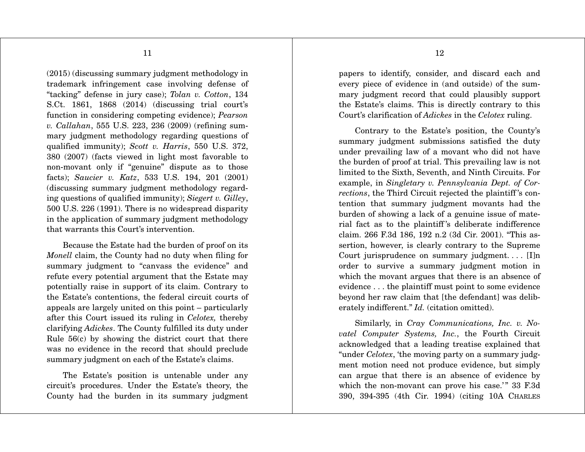(2015) (discussing summary judgment methodology in trademark infringement case involving defense of "tacking" defense in jury case); *Tolan v. Cotton*, 134 S.Ct. 1861, 1868 (2014) (discussing trial court's function in considering competing evidence); *Pearson v. Callahan*, 555 U.S. 223, 236 (2009) (refining summary judgment methodology regarding questions of qualified immunity); *Scott v. Harris*, 550 U.S. 372, 380 (2007) (facts viewed in light most favorable to non-movant only if "genuine" dispute as to those facts); *Saucier v. Katz*, 533 U.S. 194, 201 (2001) (discussing summary judgment methodology regarding questions of qualified immunity); *Siegert v. Gilley*, 500 U.S. 226 (1991). There is no widespread disparity in the application of summary judgment methodology that warrants this Court's intervention.

 Because the Estate had the burden of proof on its *Monell* claim, the County had no duty when filing for summary judgment to "canvass the evidence" and refute every potential argument that the Estate may potentially raise in support of its claim. Contrary to the Estate's contentions, the federal circuit courts of appeals are largely united on this point – particularly after this Court issued its ruling in *Celotex,* thereby clarifying *Adickes*. The County fulfilled its duty under Rule 56(c) by showing the district court that there was no evidence in the record that should preclude summary judgment on each of the Estate's claims.

 The Estate's position is untenable under any circuit's procedures. Under the Estate's theory, the County had the burden in its summary judgment

papers to identify, consider, and discard each and every piece of evidence in (and outside) of the summary judgment record that could plausibly support the Estate's claims. This is directly contrary to this Court's clarification of *Adickes* in the *Celotex* ruling.

 Contrary to the Estate's position, the County's summary judgment submissions satisfied the duty under prevailing law of a movant who did not have the burden of proof at trial. This prevailing law is not limited to the Sixth, Seventh, and Ninth Circuits. For example, in *Singletary v. Pennsylvania Dept. of Corrections*, the Third Circuit rejected the plaintiff 's contention that summary judgment movants had the burden of showing a lack of a genuine issue of material fact as to the plaintiff 's deliberate indifference claim. 266 F.3d 186, 192 n.2 (3d Cir. 2001). "This assertion, however, is clearly contrary to the Supreme Court jurisprudence on summary judgment. . . . [I]n order to survive a summary judgment motion in which the movant argues that there is an absence of evidence . . . the plaintiff must point to some evidence beyond her raw claim that [the defendant] was deliberately indifferent." *Id.* (citation omitted).

 Similarly, in *Cray Communications, Inc. v. Novatel Computer Systems, Inc.*, the Fourth Circuit acknowledged that a leading treatise explained that "under *Celotex*, 'the moving party on a summary judgment motion need not produce evidence, but simply can argue that there is an absence of evidence by which the non-movant can prove his case.'" 33 F.3d 390, 394-395 (4th Cir. 1994) (citing 10A CHARLES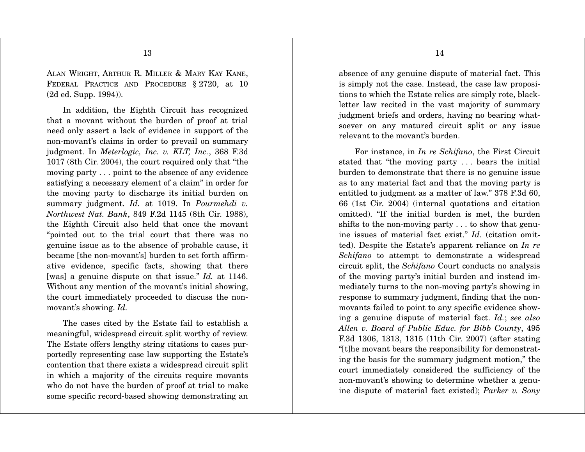ALAN WRIGHT, ARTHUR R. MILLER & MARY KAY KANE, FEDERAL PRACTICE AND PROCEDURE § 2720, at 10 (2d ed. Supp. 1994)).

 In addition, the Eighth Circuit has recognized that a movant without the burden of proof at trial need only assert a lack of evidence in support of the non-movant's claims in order to prevail on summary judgment. In *Meterlogic, Inc. v. KLT, Inc.*, 368 F.3d 1017 (8th Cir. 2004), the court required only that "the moving party . . . point to the absence of any evidence satisfying a necessary element of a claim" in order for the moving party to discharge its initial burden on summary judgment. *Id.* at 1019. In *Pourmehdi v. Northwest Nat. Bank*, 849 F.2d 1145 (8th Cir. 1988), the Eighth Circuit also held that once the movant "pointed out to the trial court that there was no genuine issue as to the absence of probable cause, it became [the non-movant's] burden to set forth affirmative evidence, specific facts, showing that there [was] a genuine dispute on that issue." *Id.* at 1146. Without any mention of the movant's initial showing, the court immediately proceeded to discuss the nonmovant's showing. *Id.*

 The cases cited by the Estate fail to establish a meaningful, widespread circuit split worthy of review. The Estate offers lengthy string citations to cases purportedly representing case law supporting the Estate's contention that there exists a widespread circuit split in which a majority of the circuits require movants who do not have the burden of proof at trial to make some specific record-based showing demonstrating an

absence of any genuine dispute of material fact. This is simply not the case. Instead, the case law propositions to which the Estate relies are simply rote, blackletter law recited in the vast majority of summary judgment briefs and orders, having no bearing whatsoever on any matured circuit split or any issue relevant to the movant's burden.

 For instance, in *In re Schifano*, the First Circuit stated that "the moving party . . . bears the initial burden to demonstrate that there is no genuine issue as to any material fact and that the moving party is entitled to judgment as a matter of law." 378 F.3d 60, 66 (1st Cir. 2004) (internal quotations and citation omitted). "If the initial burden is met, the burden shifts to the non-moving party . . . to show that genuine issues of material fact exist." *Id.* (citation omitted). Despite the Estate's apparent reliance on *In re Schifano* to attempt to demonstrate a widespread circuit split, the *Schifano* Court conducts no analysis of the moving party's initial burden and instead immediately turns to the non-moving party's showing in response to summary judgment, finding that the nonmovants failed to point to any specific evidence showing a genuine dispute of material fact. *Id.*; *see also Allen v. Board of Public Educ. for Bibb County*, 495 F.3d 1306, 1313, 1315 (11th Cir. 2007) (after stating "[t]he movant bears the responsibility for demonstrating the basis for the summary judgment motion," the court immediately considered the sufficiency of the non-movant's showing to determine whether a genuine dispute of material fact existed); *Parker v. Sony*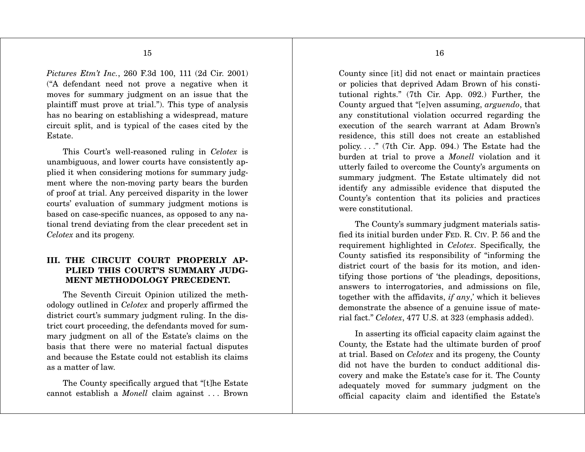*Pictures Etm't Inc.*, 260 F.3d 100, 111 (2d Cir. 2001) ("A defendant need not prove a negative when it moves for summary judgment on an issue that the plaintiff must prove at trial."). This type of analysis has no bearing on establishing a widespread, mature circuit split, and is typical of the cases cited by the Estate.

 This Court's well-reasoned ruling in *Celotex* is unambiguous, and lower courts have consistently applied it when considering motions for summary judgment where the non-moving party bears the burden of proof at trial. Any perceived disparity in the lower courts' evaluation of summary judgment motions is based on case-specific nuances, as opposed to any national trend deviating from the clear precedent set in *Celotex* and its progeny.

## **III. THE CIRCUIT COURT PROPERLY AP-PLIED THIS COURT'S SUMMARY JUDG-MENT METHODOLOGY PRECEDENT.**

 The Seventh Circuit Opinion utilized the methodology outlined in *Celotex* and properly affirmed the district court's summary judgment ruling. In the district court proceeding, the defendants moved for summary judgment on all of the Estate's claims on the basis that there were no material factual disputes and because the Estate could not establish its claims as a matter of law.

 The County specifically argued that "[t]he Estate cannot establish a *Monell* claim against . . . Brown

16

County since [it] did not enact or maintain practices or policies that deprived Adam Brown of his constitutional rights." (7th Cir. App. 092.) Further, the County argued that "[e]ven assuming, *arguendo*, that any constitutional violation occurred regarding the execution of the search warrant at Adam Brown's residence, this still does not create an established policy...." (7th Cir. App. 094.) The Estate had the burden at trial to prove a *Monell* violation and it utterly failed to overcome the County's arguments on summary judgment. The Estate ultimately did not identify any admissible evidence that disputed the County's contention that its policies and practices were constitutional.

 The County's summary judgment materials satisfied its initial burden under FED. R. CIV. P. 56 and the requirement highlighted in *Celotex*. Specifically, the County satisfied its responsibility of "informing the district court of the basis for its motion, and identifying those portions of 'the pleadings, depositions, answers to interrogatories, and admissions on file, together with the affidavits, *if any*,' which it believes demonstrate the absence of a genuine issue of material fact." *Celotex*, 477 U.S. at 323 (emphasis added).

 In asserting its official capacity claim against the County, the Estate had the ultimate burden of proof at trial. Based on *Celotex* and its progeny, the County did not have the burden to conduct additional discovery and make the Estate's case for it. The County adequately moved for summary judgment on the official capacity claim and identified the Estate's